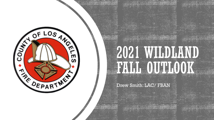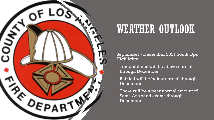

### WEATHER OUTLOOK

September - December 2021 South Ops Highlights

- Temperatures will be above normal through December
- Rainfall will be below normal through December
- There will be a near normal amount of Santa Ana wind events through December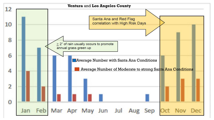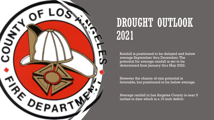

# DROUGHT OUTLOOK 2021

- Rainfall is positioned to be delayed and below average September thru December. The potential for average rainfall is yet to be determined from January thru May 2022.
- However the chance of rain potential is favorable, but positioned to be below average.
- Average rainfall in Los Angeles County is near 5 inches to date which is a 10 inch deficit.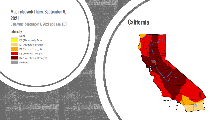### Map released: Thurs. September 9, 2021

Data valid: September 7, 2021 at 8 a.m. EDT

**California** 

#### **Intensity**

None **D0 (Abnormally Dry)** D1 (Moderate Drought) D2 (Severe Drought) D3 (Extreme Drought) D4 (Exceptional Drought) No Data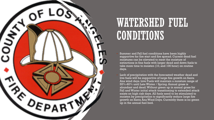

### WATERSHED FUEL CONDITIONS

- Summer and Fall fuel conditions have been highly supportive for fire start and fire spread. Current dead fuel moistures can be elevated to meet the moisture of extinctions in fine fuels with larger dead and down fuels to take more time to moisten (10, and 100 hour) on routine days.
- Lack of precipitation with the forecasted weather dead and live fuels will be supportive of large fire growth on Santa Ana wind days. Live Fuels will maintain a moisture range of 55%-60% until Late Winter / Spring. Annual grass is abundant and dead. Without green up in annual grass for Fall and Winter initial attack transitioning to extended attack exists on high risk days. All fuels need to be stimulated to moisten by precipitation to significantly reduce large fire growth on Santa Ana Wind Days. Currently there is no green up in the annual fuel bed.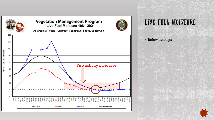

#### **Vegetation Management Program** Live Fuel Moisture 1981-2021



All Areas, All Fuels - Chamise, Ceanothus, Sages, Sagebrush



### LIVE FUEL MOISTURE

**Below average** 

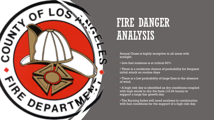

### FIRE DANGER ANALYSIS

- Annual Grass is highly receptive in all areas with sunlight.
- Live fuel moisture is at critical 60%
- There is a moderate chance of probability for frequent initial attack on routine days
- There is a low probability of large fires in the absence of wind.
- A high risk day is identified as dry conditions coupled with high winds to dry the fuels (12-24 hours) to support a large fire growth day.
- The Burning Index will need analyses in combination with fuel conditions for the support of a high risk day.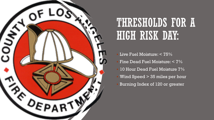

# THRESHOLDS FOR A HIGH RISK DAY:

- Live Fuel Moisture:  $< 75\%$
- $\blacksquare$  Fine Dead Fuel Moisture:  $<$  7%
- **10 Hour Dead Fuel Moisture 7%**
- Wind Speed > 35 miles per hour
- Burning Index of 120 or greater